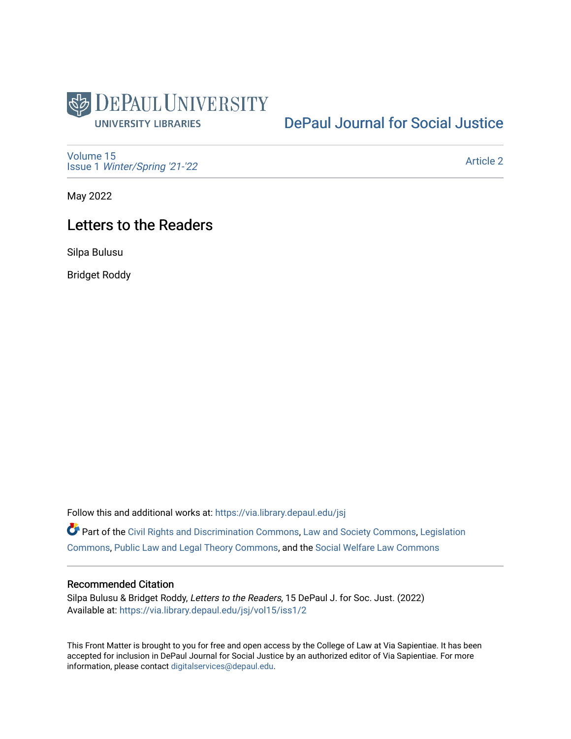

## [DePaul Journal for Social Justice](https://via.library.depaul.edu/jsj)

[Volume 15](https://via.library.depaul.edu/jsj/vol15) Issue 1 [Winter/Spring '21-'22](https://via.library.depaul.edu/jsj/vol15/iss1) 

[Article 2](https://via.library.depaul.edu/jsj/vol15/iss1/2) 

May 2022

## Letters to the Readers

Silpa Bulusu

Bridget Roddy

Follow this and additional works at: [https://via.library.depaul.edu/jsj](https://via.library.depaul.edu/jsj?utm_source=via.library.depaul.edu%2Fjsj%2Fvol15%2Fiss1%2F2&utm_medium=PDF&utm_campaign=PDFCoverPages) 

Part of the [Civil Rights and Discrimination Commons,](https://network.bepress.com/hgg/discipline/585?utm_source=via.library.depaul.edu%2Fjsj%2Fvol15%2Fiss1%2F2&utm_medium=PDF&utm_campaign=PDFCoverPages) [Law and Society Commons](https://network.bepress.com/hgg/discipline/853?utm_source=via.library.depaul.edu%2Fjsj%2Fvol15%2Fiss1%2F2&utm_medium=PDF&utm_campaign=PDFCoverPages), [Legislation](https://network.bepress.com/hgg/discipline/859?utm_source=via.library.depaul.edu%2Fjsj%2Fvol15%2Fiss1%2F2&utm_medium=PDF&utm_campaign=PDFCoverPages) [Commons](https://network.bepress.com/hgg/discipline/859?utm_source=via.library.depaul.edu%2Fjsj%2Fvol15%2Fiss1%2F2&utm_medium=PDF&utm_campaign=PDFCoverPages), [Public Law and Legal Theory Commons](https://network.bepress.com/hgg/discipline/871?utm_source=via.library.depaul.edu%2Fjsj%2Fvol15%2Fiss1%2F2&utm_medium=PDF&utm_campaign=PDFCoverPages), and the [Social Welfare Law Commons](https://network.bepress.com/hgg/discipline/878?utm_source=via.library.depaul.edu%2Fjsj%2Fvol15%2Fiss1%2F2&utm_medium=PDF&utm_campaign=PDFCoverPages)

## Recommended Citation

Silpa Bulusu & Bridget Roddy, Letters to the Readers, 15 DePaul J. for Soc. Just. (2022) Available at: [https://via.library.depaul.edu/jsj/vol15/iss1/2](https://via.library.depaul.edu/jsj/vol15/iss1/2?utm_source=via.library.depaul.edu%2Fjsj%2Fvol15%2Fiss1%2F2&utm_medium=PDF&utm_campaign=PDFCoverPages) 

This Front Matter is brought to you for free and open access by the College of Law at Via Sapientiae. It has been accepted for inclusion in DePaul Journal for Social Justice by an authorized editor of Via Sapientiae. For more information, please contact [digitalservices@depaul.edu](mailto:digitalservices@depaul.edu).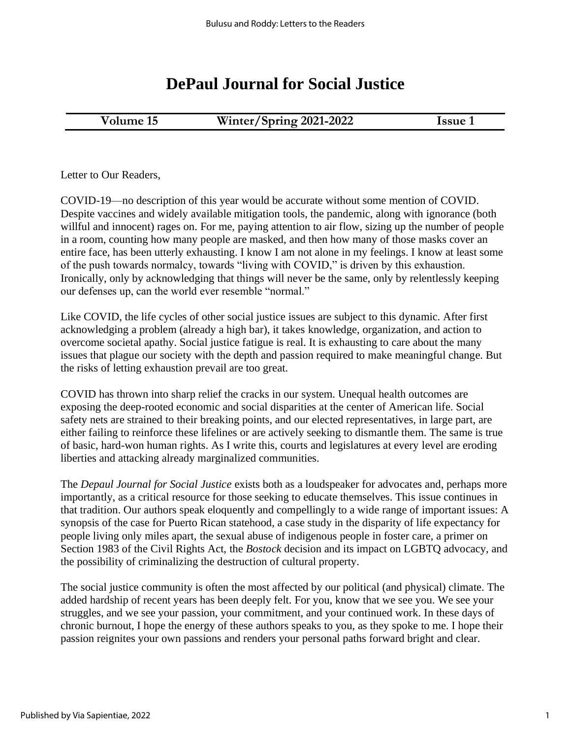## **DePaul Journal for Social Justice**

| Volume 15 |  |
|-----------|--|
|-----------|--|

**15 Winter/Spring 2021-2022 Issue 1** 

Letter to Our Readers,

COVID-19—no description of this year would be accurate without some mention of COVID. Despite vaccines and widely available mitigation tools, the pandemic, along with ignorance (both willful and innocent) rages on. For me, paying attention to air flow, sizing up the number of people in a room, counting how many people are masked, and then how many of those masks cover an entire face, has been utterly exhausting. I know I am not alone in my feelings. I know at least some of the push towards normalcy, towards "living with COVID," is driven by this exhaustion. Ironically, only by acknowledging that things will never be the same, only by relentlessly keeping our defenses up, can the world ever resemble "normal."

Like COVID, the life cycles of other social justice issues are subject to this dynamic. After first acknowledging a problem (already a high bar), it takes knowledge, organization, and action to overcome societal apathy. Social justice fatigue is real. It is exhausting to care about the many issues that plague our society with the depth and passion required to make meaningful change. But the risks of letting exhaustion prevail are too great.

COVID has thrown into sharp relief the cracks in our system. Unequal health outcomes are exposing the deep-rooted economic and social disparities at the center of American life. Social safety nets are strained to their breaking points, and our elected representatives, in large part, are either failing to reinforce these lifelines or are actively seeking to dismantle them. The same is true of basic, hard-won human rights. As I write this, courts and legislatures at every level are eroding liberties and attacking already marginalized communities.

The *Depaul Journal for Social Justice* exists both as a loudspeaker for advocates and, perhaps more importantly, as a critical resource for those seeking to educate themselves. This issue continues in that tradition. Our authors speak eloquently and compellingly to a wide range of important issues: A synopsis of the case for Puerto Rican statehood, a case study in the disparity of life expectancy for people living only miles apart, the sexual abuse of indigenous people in foster care, a primer on Section 1983 of the Civil Rights Act, the *Bostock* decision and its impact on LGBTQ advocacy, and the possibility of criminalizing the destruction of cultural property.

The social justice community is often the most affected by our political (and physical) climate. The added hardship of recent years has been deeply felt. For you, know that we see you. We see your struggles, and we see your passion, your commitment, and your continued work. In these days of chronic burnout, I hope the energy of these authors speaks to you, as they spoke to me. I hope their passion reignites your own passions and renders your personal paths forward bright and clear.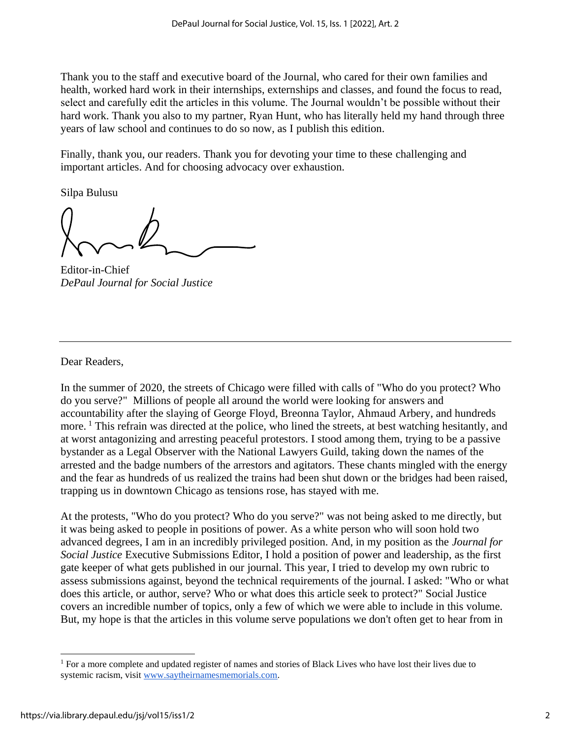Thank you to the staff and executive board of the Journal, who cared for their own families and health, worked hard work in their internships, externships and classes, and found the focus to read, select and carefully edit the articles in this volume. The Journal wouldn't be possible without their hard work. Thank you also to my partner, Ryan Hunt, who has literally held my hand through three years of law school and continues to do so now, as I publish this edition.

Finally, thank you, our readers. Thank you for devoting your time to these challenging and important articles. And for choosing advocacy over exhaustion.

Silpa Bulusu

Editor-in-Chief *DePaul Journal for Social Justice*

Dear Readers,

In the summer of 2020, the streets of Chicago were filled with calls of "Who do you protect? Who do you serve?" Millions of people all around the world were looking for answers and accountability after the slaying of George Floyd, Breonna Taylor, Ahmaud Arbery, and hundreds more.<sup>1</sup> This refrain was directed at the police, who lined the streets, at best watching hesitantly, and at worst antagonizing and arresting peaceful protestors. I stood among them, trying to be a passive bystander as a Legal Observer with the National Lawyers Guild, taking down the names of the arrested and the badge numbers of the arrestors and agitators. These chants mingled with the energy and the fear as hundreds of us realized the trains had been shut down or the bridges had been raised, trapping us in downtown Chicago as tensions rose, has stayed with me.

At the protests, "Who do you protect? Who do you serve?" was not being asked to me directly, but it was being asked to people in positions of power. As a white person who will soon hold two advanced degrees, I am in an incredibly privileged position. And, in my position as the *Journal for Social Justice* Executive Submissions Editor, I hold a position of power and leadership, as the first gate keeper of what gets published in our journal. This year, I tried to develop my own rubric to assess submissions against, beyond the technical requirements of the journal. I asked: "Who or what does this article, or author, serve? Who or what does this article seek to protect?" Social Justice covers an incredible number of topics, only a few of which we were able to include in this volume. But, my hope is that the articles in this volume serve populations we don't often get to hear from in

<sup>&</sup>lt;sup>1</sup> For a more complete and updated register of names and stories of Black Lives who have lost their lives due to systemic racism, visit [www.saytheirnamesmemorials.com.](https://www.saytheirnamesmemorials.com/names)